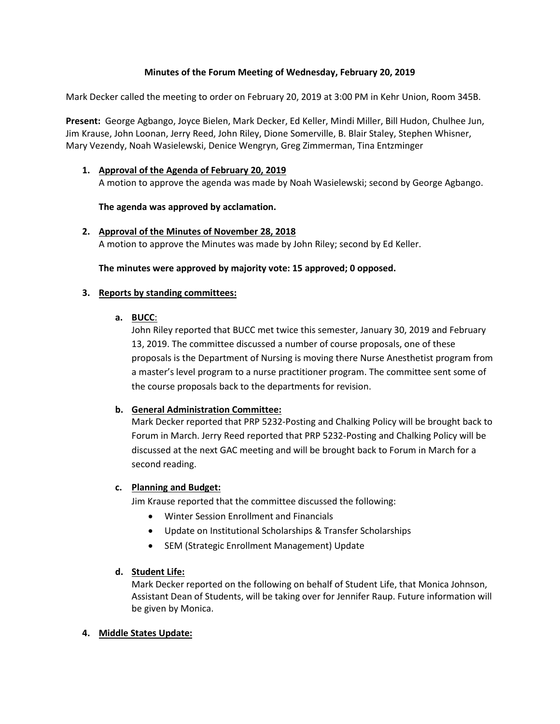# **Minutes of the Forum Meeting of Wednesday, February 20, 2019**

Mark Decker called the meeting to order on February 20, 2019 at 3:00 PM in Kehr Union, Room 345B.

**Present:** George Agbango, Joyce Bielen, Mark Decker, Ed Keller, Mindi Miller, Bill Hudon, Chulhee Jun, Jim Krause, John Loonan, Jerry Reed, John Riley, Dione Somerville, B. Blair Staley, Stephen Whisner, Mary Vezendy, Noah Wasielewski, Denice Wengryn, Greg Zimmerman, Tina Entzminger

# **1. Approval of the Agenda of February 20, 2019**

A motion to approve the agenda was made by Noah Wasielewski; second by George Agbango.

# **The agenda was approved by acclamation.**

# **2. Approval of the Minutes of November 28, 2018**

A motion to approve the Minutes was made by John Riley; second by Ed Keller.

#### **The minutes were approved by majority vote: 15 approved; 0 opposed.**

#### **3. Reports by standing committees:**

#### **a. BUCC**:

John Riley reported that BUCC met twice this semester, January 30, 2019 and February 13, 2019. The committee discussed a number of course proposals, one of these proposals is the Department of Nursing is moving there Nurse Anesthetist program from a master's level program to a nurse practitioner program. The committee sent some of the course proposals back to the departments for revision.

# **b. General Administration Committee:**

Mark Decker reported that PRP 5232-Posting and Chalking Policy will be brought back to Forum in March. Jerry Reed reported that PRP 5232-Posting and Chalking Policy will be discussed at the next GAC meeting and will be brought back to Forum in March for a second reading.

# **c. Planning and Budget:**

Jim Krause reported that the committee discussed the following:

- Winter Session Enrollment and Financials
- Update on Institutional Scholarships & Transfer Scholarships
- SEM (Strategic Enrollment Management) Update

# **d. Student Life:**

Mark Decker reported on the following on behalf of Student Life, that Monica Johnson, Assistant Dean of Students, will be taking over for Jennifer Raup. Future information will be given by Monica.

# **4. Middle States Update:**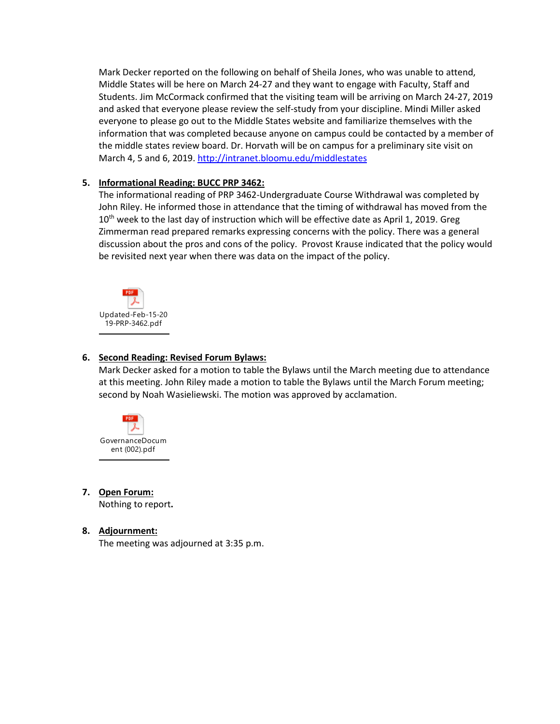Mark Decker reported on the following on behalf of Sheila Jones, who was unable to attend, Middle States will be here on March 24-27 and they want to engage with Faculty, Staff and Students. Jim McCormack confirmed that the visiting team will be arriving on March 24-27, 2019 and asked that everyone please review the self-study from your discipline. Mindi Miller asked everyone to please go out to the Middle States website and familiarize themselves with the information that was completed because anyone on campus could be contacted by a member of the middle states review board. Dr. Horvath will be on campus for a preliminary site visit on March 4, 5 and 6, 2019.<http://intranet.bloomu.edu/middlestates>

# **5. Informational Reading: BUCC PRP 3462:**

The informational reading of PRP 3462-Undergraduate Course Withdrawal was completed by John Riley. He informed those in attendance that the timing of withdrawal has moved from the  $10<sup>th</sup>$  week to the last day of instruction which will be effective date as April 1, 2019. Greg Zimmerman read prepared remarks expressing concerns with the policy. There was a general discussion about the pros and cons of the policy. Provost Krause indicated that the policy would be revisited next year when there was data on the impact of the policy.



#### **6. Second Reading: Revised Forum Bylaws:**

Mark Decker asked for a motion to table the Bylaws until the March meeting due to attendance at this meeting. John Riley made a motion to table the Bylaws until the March Forum meeting; second by Noah Wasieliewski. The motion was approved by acclamation.



# **7. Open Forum:**

Nothing to report**.**

# **8. Adjournment:**

The meeting was adjourned at 3:35 p.m.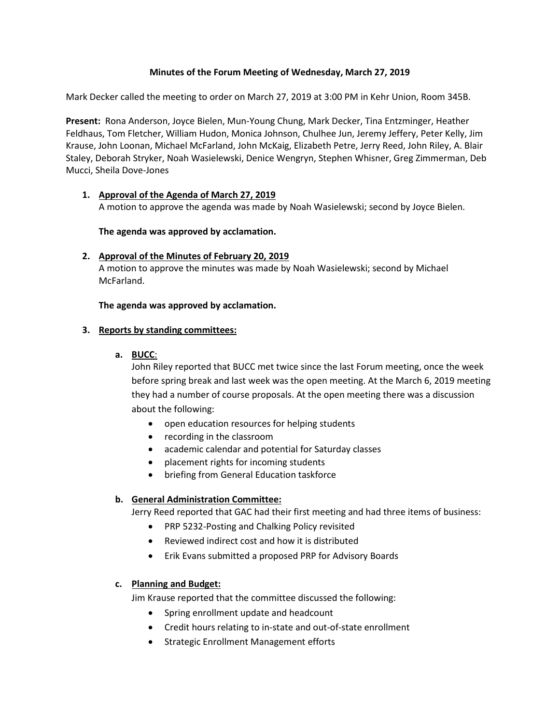# **Minutes of the Forum Meeting of Wednesday, March 27, 2019**

Mark Decker called the meeting to order on March 27, 2019 at 3:00 PM in Kehr Union, Room 345B.

**Present:** Rona Anderson, Joyce Bielen, Mun-Young Chung, Mark Decker, Tina Entzminger, Heather Feldhaus, Tom Fletcher, William Hudon, Monica Johnson, Chulhee Jun, Jeremy Jeffery, Peter Kelly, Jim Krause, John Loonan, Michael McFarland, John McKaig, Elizabeth Petre, Jerry Reed, John Riley, A. Blair Staley, Deborah Stryker, Noah Wasielewski, Denice Wengryn, Stephen Whisner, Greg Zimmerman, Deb Mucci, Sheila Dove-Jones

# **1. Approval of the Agenda of March 27, 2019**

A motion to approve the agenda was made by Noah Wasielewski; second by Joyce Bielen.

**The agenda was approved by acclamation.**

# **2. Approval of the Minutes of February 20, 2019**

A motion to approve the minutes was made by Noah Wasielewski; second by Michael McFarland.

# **The agenda was approved by acclamation.**

# **3. Reports by standing committees:**

# **a. BUCC**:

John Riley reported that BUCC met twice since the last Forum meeting, once the week before spring break and last week was the open meeting. At the March 6, 2019 meeting they had a number of course proposals. At the open meeting there was a discussion about the following:

- open education resources for helping students
- recording in the classroom
- academic calendar and potential for Saturday classes
- placement rights for incoming students
- briefing from General Education taskforce

# **b. General Administration Committee:**

Jerry Reed reported that GAC had their first meeting and had three items of business:

- PRP 5232-Posting and Chalking Policy revisited
- Reviewed indirect cost and how it is distributed
- Erik Evans submitted a proposed PRP for Advisory Boards

# **c. Planning and Budget:**

Jim Krause reported that the committee discussed the following:

- Spring enrollment update and headcount
- Credit hours relating to in-state and out-of-state enrollment
- Strategic Enrollment Management efforts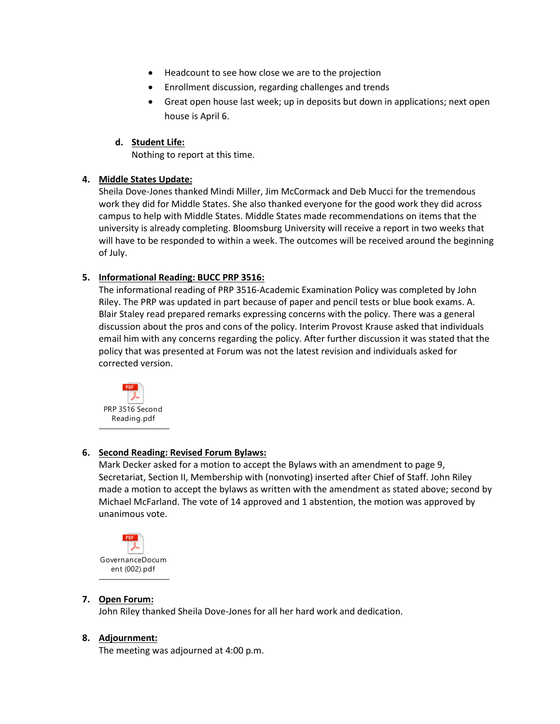- Headcount to see how close we are to the projection
- Enrollment discussion, regarding challenges and trends
- Great open house last week; up in deposits but down in applications; next open house is April 6.

# **d. Student Life:**

Nothing to report at this time.

# **4. Middle States Update:**

Sheila Dove-Jones thanked Mindi Miller, Jim McCormack and Deb Mucci for the tremendous work they did for Middle States. She also thanked everyone for the good work they did across campus to help with Middle States. Middle States made recommendations on items that the university is already completing. Bloomsburg University will receive a report in two weeks that will have to be responded to within a week. The outcomes will be received around the beginning of July.

# **5. Informational Reading: BUCC PRP 3516:**

The informational reading of PRP 3516-Academic Examination Policy was completed by John Riley. The PRP was updated in part because of paper and pencil tests or blue book exams. A. Blair Staley read prepared remarks expressing concerns with the policy. There was a general discussion about the pros and cons of the policy. Interim Provost Krause asked that individuals email him with any concerns regarding the policy. After further discussion it was stated that the policy that was presented at Forum was not the latest revision and individuals asked for corrected version.



# **6. Second Reading: Revised Forum Bylaws:**

Mark Decker asked for a motion to accept the Bylaws with an amendment to page 9, Secretariat, Section II, Membership with (nonvoting) inserted after Chief of Staff. John Riley made a motion to accept the bylaws as written with the amendment as stated above; second by Michael McFarland. The vote of 14 approved and 1 abstention, the motion was approved by unanimous vote.



# **7. Open Forum:**

John Riley thanked Sheila Dove-Jones for all her hard work and dedication.

# **8. Adjournment:**

The meeting was adjourned at 4:00 p.m.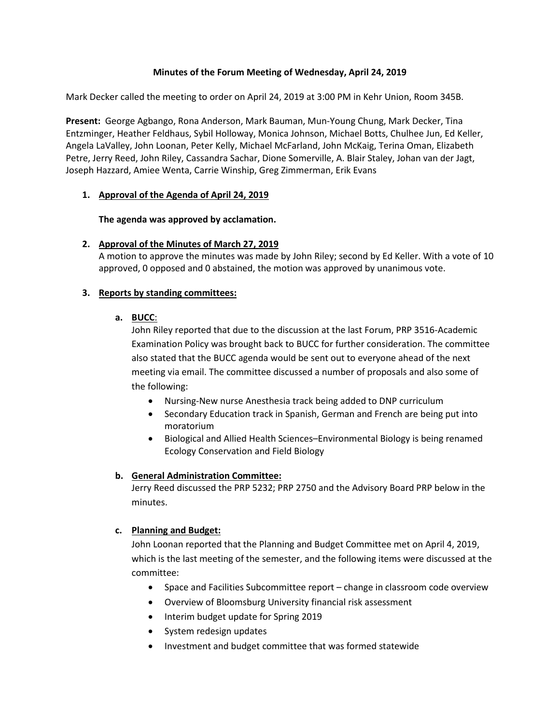# **Minutes of the Forum Meeting of Wednesday, April 24, 2019**

Mark Decker called the meeting to order on April 24, 2019 at 3:00 PM in Kehr Union, Room 345B.

**Present:** George Agbango, Rona Anderson, Mark Bauman, Mun-Young Chung, Mark Decker, Tina Entzminger, Heather Feldhaus, Sybil Holloway, Monica Johnson, Michael Botts, Chulhee Jun, Ed Keller, Angela LaValley, John Loonan, Peter Kelly, Michael McFarland, John McKaig, Terina Oman, Elizabeth Petre, Jerry Reed, John Riley, Cassandra Sachar, Dione Somerville, A. Blair Staley, Johan van der Jagt, Joseph Hazzard, Amiee Wenta, Carrie Winship, Greg Zimmerman, Erik Evans

# **1. Approval of the Agenda of April 24, 2019**

**The agenda was approved by acclamation.**

# **2. Approval of the Minutes of March 27, 2019**

A motion to approve the minutes was made by John Riley; second by Ed Keller. With a vote of 10 approved, 0 opposed and 0 abstained, the motion was approved by unanimous vote.

# **3. Reports by standing committees:**

# **a. BUCC**:

John Riley reported that due to the discussion at the last Forum, PRP 3516-Academic Examination Policy was brought back to BUCC for further consideration. The committee also stated that the BUCC agenda would be sent out to everyone ahead of the next meeting via email. The committee discussed a number of proposals and also some of the following:

- Nursing-New nurse Anesthesia track being added to DNP curriculum
- Secondary Education track in Spanish, German and French are being put into moratorium
- Biological and Allied Health Sciences–Environmental Biology is being renamed Ecology Conservation and Field Biology

# **b. General Administration Committee:**

Jerry Reed discussed the PRP 5232; PRP 2750 and the Advisory Board PRP below in the minutes.

# **c. Planning and Budget:**

John Loonan reported that the Planning and Budget Committee met on April 4, 2019, which is the last meeting of the semester, and the following items were discussed at the committee:

- Space and Facilities Subcommittee report change in classroom code overview
- Overview of Bloomsburg University financial risk assessment
- Interim budget update for Spring 2019
- System redesign updates
- Investment and budget committee that was formed statewide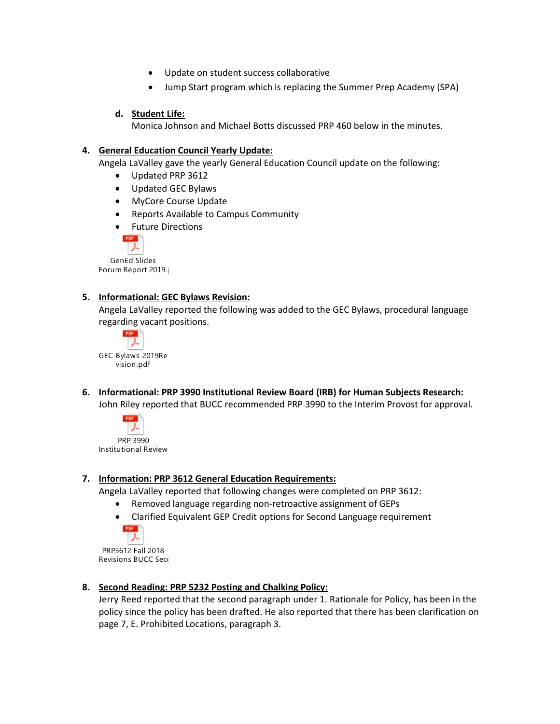- Update on student success collaborative
- Jump Start program which is replacing the Summer Prep Academy (SPA)

# **d. Student Life:**

Monica Johnson and Michael Botts discussed PRP 460 below in the minutes.

# **4. General Education Council Yearly Update:**

Angela LaValley gave the yearly General Education Council update on the following:

- Updated PRP 3612
- Updated GEC Bylaws
- MyCore Course Update
- Reports Available to Campus Community
- Future Directions



GenEd Slides Forum Report 2019.

# **5. Informational: GEC Bylaws Revision:**

Angela LaValley reported the following was added to the GEC Bylaws, procedural language regarding vacant positions.



**6. Informational: PRP 3990 Institutional Review Board (IRB) for Human Subjects Research:** John Riley reported that BUCC recommended PRP 3990 to the Interim Provost for approval.



Institutional Review

# **7. Information: PRP 3612 General Education Requirements:**

Angela LaValley reported that following changes were completed on PRP 3612:

- Removed language regarding non-retroactive assignment of GEPs
- Clarified Equivalent GEP Credit options for Second Language requirement



PRP3612 Fall 2018 Revisions BUCC Seco

# **8. Second Reading: PRP 5232 Posting and Chalking Policy:**

Jerry Reed reported that the second paragraph under 1. Rationale for Policy, has been in the policy since the policy has been drafted. He also reported that there has been clarification on page 7, E. Prohibited Locations, paragraph 3.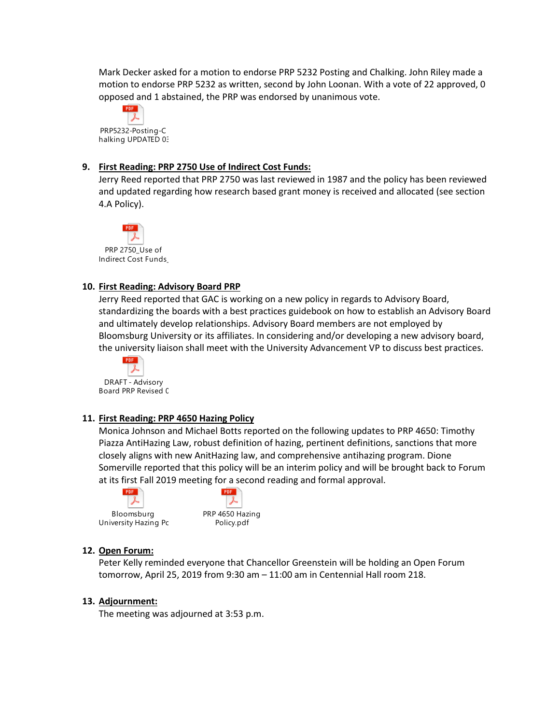Mark Decker asked for a motion to endorse PRP 5232 Posting and Chalking. John Riley made a motion to endorse PRP 5232 as written, second by John Loonan. With a vote of 22 approved, 0 opposed and 1 abstained, the PRP was endorsed by unanimous vote.



# **9. First Reading: PRP 2750 Use of Indirect Cost Funds:**

Jerry Reed reported that PRP 2750 was last reviewed in 1987 and the policy has been reviewed and updated regarding how research based grant money is received and allocated (see section 4.A Policy).



# **10. First Reading: Advisory Board PRP**

Jerry Reed reported that GAC is working on a new policy in regards to Advisory Board, standardizing the boards with a best practices guidebook on how to establish an Advisory Board and ultimately develop relationships. Advisory Board members are not employed by Bloomsburg University or its affiliates. In considering and/or developing a new advisory board, the university liaison shall meet with the University Advancement VP to discuss best practices.



# **11. First Reading: PRP 4650 Hazing Policy**

Monica Johnson and Michael Botts reported on the following updates to PRP 4650: Timothy Piazza AntiHazing Law, robust definition of hazing, pertinent definitions, sanctions that more closely aligns with new AnitHazing law, and comprehensive antihazing program. Dione Somerville reported that this policy will be an interim policy and will be brought back to Forum at its first Fall 2019 meeting for a second reading and formal approval.





# **12. Open Forum:**

Peter Kelly reminded everyone that Chancellor Greenstein will be holding an Open Forum tomorrow, April 25, 2019 from 9:30 am – 11:00 am in Centennial Hall room 218.

# **13. Adjournment:**

The meeting was adjourned at 3:53 p.m.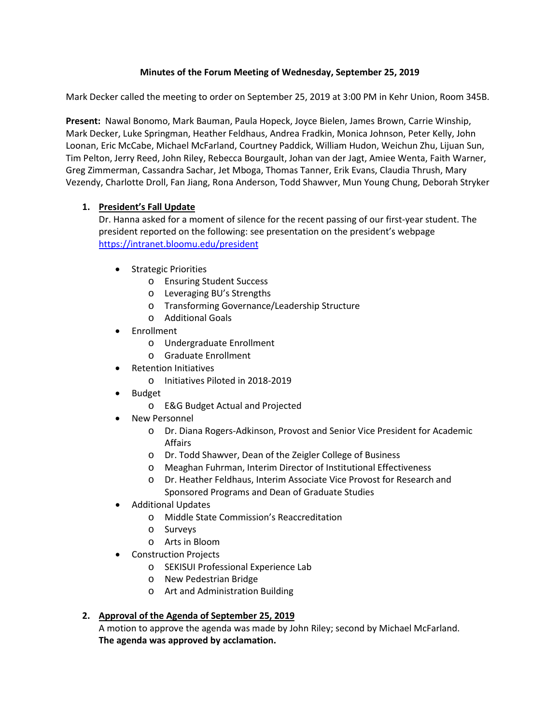# **Minutes of the Forum Meeting of Wednesday, September 25, 2019**

Mark Decker called the meeting to order on September 25, 2019 at 3:00 PM in Kehr Union, Room 345B.

**Present:** Nawal Bonomo, Mark Bauman, Paula Hopeck, Joyce Bielen, James Brown, Carrie Winship, Mark Decker, Luke Springman, Heather Feldhaus, Andrea Fradkin, Monica Johnson, Peter Kelly, John Loonan, Eric McCabe, Michael McFarland, Courtney Paddick, William Hudon, Weichun Zhu, Lijuan Sun, Tim Pelton, Jerry Reed, John Riley, Rebecca Bourgault, Johan van der Jagt, Amiee Wenta, Faith Warner, Greg Zimmerman, Cassandra Sachar, Jet Mboga, Thomas Tanner, Erik Evans, Claudia Thrush, Mary Vezendy, Charlotte Droll, Fan Jiang, Rona Anderson, Todd Shawver, Mun Young Chung, Deborah Stryker

# **1. President's Fall Update**

Dr. Hanna asked for a moment of silence for the recent passing of our first-year student. The president reported on the following: see presentation on the president's webpage <https://intranet.bloomu.edu/president>

- Strategic Priorities
	- o Ensuring Student Success
	- o Leveraging BU's Strengths
	- o Transforming Governance/Leadership Structure
	- o Additional Goals
- **Enrollment** 
	- o Undergraduate Enrollment
	- o Graduate Enrollment
- Retention Initiatives
	- o Initiatives Piloted in 2018-2019
- Budget
	- o E&G Budget Actual and Projected
- New Personnel
	- o Dr. Diana Rogers-Adkinson, Provost and Senior Vice President for Academic Affairs
	- o Dr. Todd Shawver, Dean of the Zeigler College of Business
	- o Meaghan Fuhrman, Interim Director of Institutional Effectiveness
	- o Dr. Heather Feldhaus, Interim Associate Vice Provost for Research and Sponsored Programs and Dean of Graduate Studies
- Additional Updates
	- o Middle State Commission's Reaccreditation
	- o Surveys
	- o Arts in Bloom
- Construction Projects
	- o SEKISUI Professional Experience Lab
	- o New Pedestrian Bridge
	- o Art and Administration Building

# **2. Approval of the Agenda of September 25, 2019**

A motion to approve the agenda was made by John Riley; second by Michael McFarland. **The agenda was approved by acclamation.**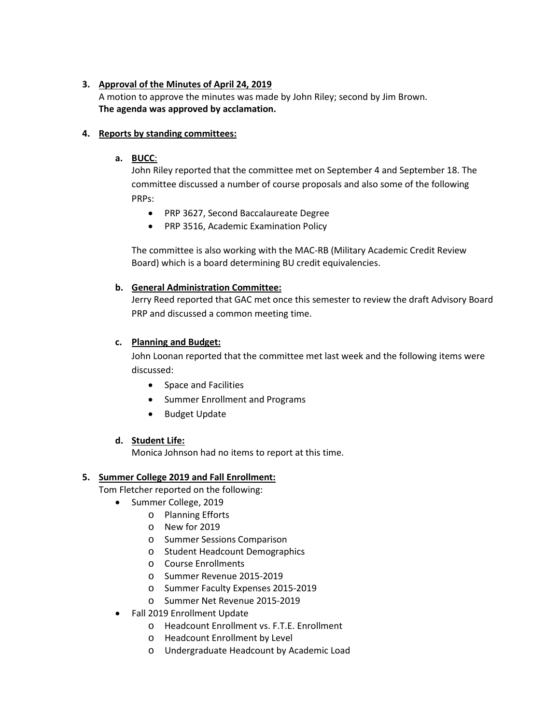# **3. Approval of the Minutes of April 24, 2019**

A motion to approve the minutes was made by John Riley; second by Jim Brown. **The agenda was approved by acclamation.**

# **4. Reports by standing committees:**

# **a. BUCC**:

John Riley reported that the committee met on September 4 and September 18. The committee discussed a number of course proposals and also some of the following PRPs:

- PRP 3627, Second Baccalaureate Degree
- PRP 3516, Academic Examination Policy

The committee is also working with the MAC-RB (Military Academic Credit Review Board) which is a board determining BU credit equivalencies.

# **b. General Administration Committee:**

Jerry Reed reported that GAC met once this semester to review the draft Advisory Board PRP and discussed a common meeting time.

# **c. Planning and Budget:**

John Loonan reported that the committee met last week and the following items were discussed:

- Space and Facilities
- Summer Enrollment and Programs
- Budget Update

# **d. Student Life:**

Monica Johnson had no items to report at this time.

# **5. Summer College 2019 and Fall Enrollment:**

Tom Fletcher reported on the following:

- Summer College, 2019
	- o Planning Efforts
	- o New for 2019
	- o Summer Sessions Comparison
	- o Student Headcount Demographics
	- o Course Enrollments
	- o Summer Revenue 2015-2019
	- o Summer Faculty Expenses 2015-2019
	- o Summer Net Revenue 2015-2019
- Fall 2019 Enrollment Update
	- o Headcount Enrollment vs. F.T.E. Enrollment
	- o Headcount Enrollment by Level
	- o Undergraduate Headcount by Academic Load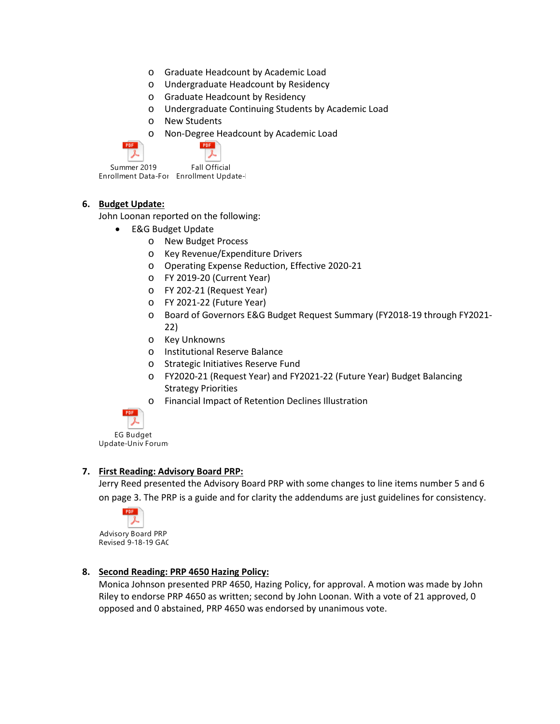- o Graduate Headcount by Academic Load
- o Undergraduate Headcount by Residency
- o Graduate Headcount by Residency
- o Undergraduate Continuing Students by Academic Load
- o New Students
- o Non-Degree Headcount by Academic Load

| Summer 2019         | <b>Fall Official</b> |
|---------------------|----------------------|
| Enrollment Data-For | Enrollment Update-   |

#### **6. Budget Update:**

John Loonan reported on the following:

- E&G Budget Update
	- o New Budget Process
	- o Key Revenue/Expenditure Drivers
	- o Operating Expense Reduction, Effective 2020-21
	- o FY 2019-20 (Current Year)
	- o FY 202-21 (Request Year)
	- o FY 2021-22 (Future Year)
	- o Board of Governors E&G Budget Request Summary (FY2018-19 through FY2021- 22)
	- o Key Unknowns
	- o Institutional Reserve Balance
	- o Strategic Initiatives Reserve Fund
	- o FY2020-21 (Request Year) and FY2021-22 (Future Year) Budget Balancing Strategy Priorities
	- o Financial Impact of Retention Declines Illustration



EG Budget Update-Univ Forum-

# **7. First Reading: Advisory Board PRP:**

Jerry Reed presented the Advisory Board PRP with some changes to line items number 5 and 6 on page 3. The PRP is a guide and for clarity the addendums are just guidelines for consistency.



Advisory Board PRP Revised 9-18-19 GAC

# **8. Second Reading: PRP 4650 Hazing Policy:**

Monica Johnson presented PRP 4650, Hazing Policy, for approval. A motion was made by John Riley to endorse PRP 4650 as written; second by John Loonan. With a vote of 21 approved, 0 opposed and 0 abstained, PRP 4650 was endorsed by unanimous vote.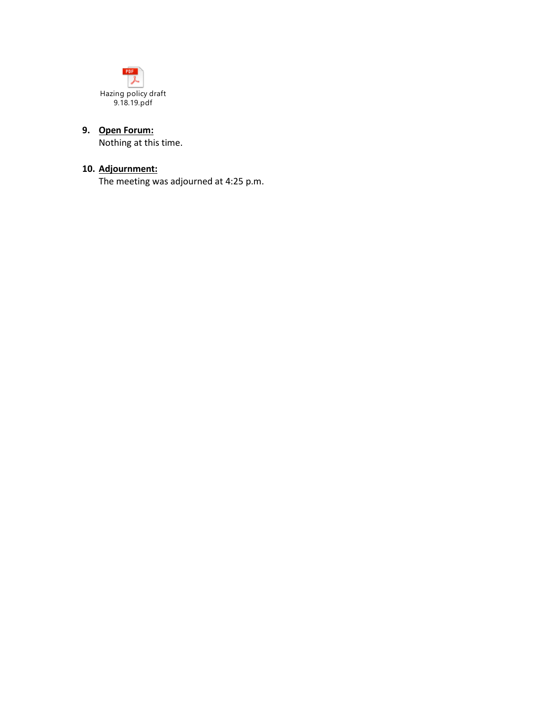

# **9. Open Forum:**

Nothing at this time.

# **10. Adjournment:**

The meeting was adjourned at 4:25 p.m.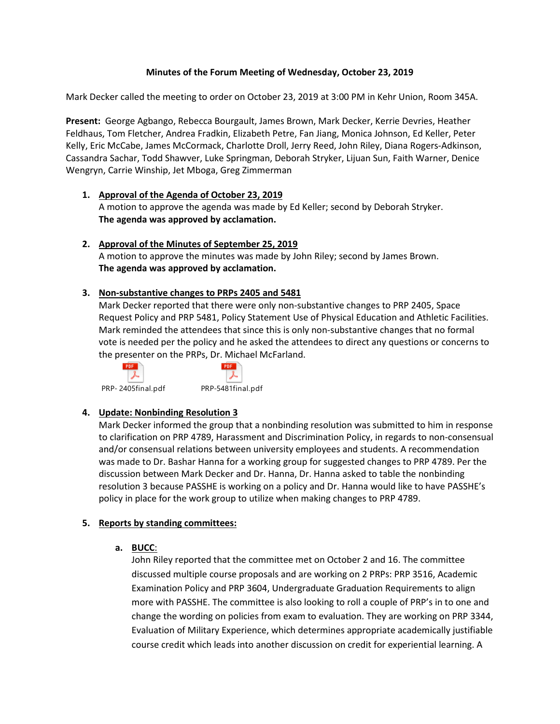# **Minutes of the Forum Meeting of Wednesday, October 23, 2019**

Mark Decker called the meeting to order on October 23, 2019 at 3:00 PM in Kehr Union, Room 345A.

**Present:** George Agbango, Rebecca Bourgault, James Brown, Mark Decker, Kerrie Devries, Heather Feldhaus, Tom Fletcher, Andrea Fradkin, Elizabeth Petre, Fan Jiang, Monica Johnson, Ed Keller, Peter Kelly, Eric McCabe, James McCormack, Charlotte Droll, Jerry Reed, John Riley, Diana Rogers-Adkinson, Cassandra Sachar, Todd Shawver, Luke Springman, Deborah Stryker, Lijuan Sun, Faith Warner, Denice Wengryn, Carrie Winship, Jet Mboga, Greg Zimmerman

- **1. Approval of the Agenda of October 23, 2019** A motion to approve the agenda was made by Ed Keller; second by Deborah Stryker. **The agenda was approved by acclamation.**
- **2. Approval of the Minutes of September 25, 2019** A motion to approve the minutes was made by John Riley; second by James Brown. **The agenda was approved by acclamation.**

# **3. Non-substantive changes to PRPs 2405 and 5481**

Mark Decker reported that there were only non-substantive changes to PRP 2405, Space Request Policy and PRP 5481, Policy Statement Use of Physical Education and Athletic Facilities. Mark reminded the attendees that since this is only non-substantive changes that no formal vote is needed per the policy and he asked the attendees to direct any questions or concerns to the presenter on the PRPs, Dr. Michael McFarland.





PRP- 2405final.pdf PRP-5481final.pdf

# **4. Update: Nonbinding Resolution 3**

Mark Decker informed the group that a nonbinding resolution was submitted to him in response to clarification on PRP 4789, Harassment and Discrimination Policy, in regards to non-consensual and/or consensual relations between university employees and students. A recommendation was made to Dr. Bashar Hanna for a working group for suggested changes to PRP 4789. Per the discussion between Mark Decker and Dr. Hanna, Dr. Hanna asked to table the nonbinding resolution 3 because PASSHE is working on a policy and Dr. Hanna would like to have PASSHE's policy in place for the work group to utilize when making changes to PRP 4789.

# **5. Reports by standing committees:**

**a. BUCC**:

John Riley reported that the committee met on October 2 and 16. The committee discussed multiple course proposals and are working on 2 PRPs: PRP 3516, Academic Examination Policy and PRP 3604, Undergraduate Graduation Requirements to align more with PASSHE. The committee is also looking to roll a couple of PRP's in to one and change the wording on policies from exam to evaluation. They are working on PRP 3344, Evaluation of Military Experience, which determines appropriate academically justifiable course credit which leads into another discussion on credit for experiential learning. A